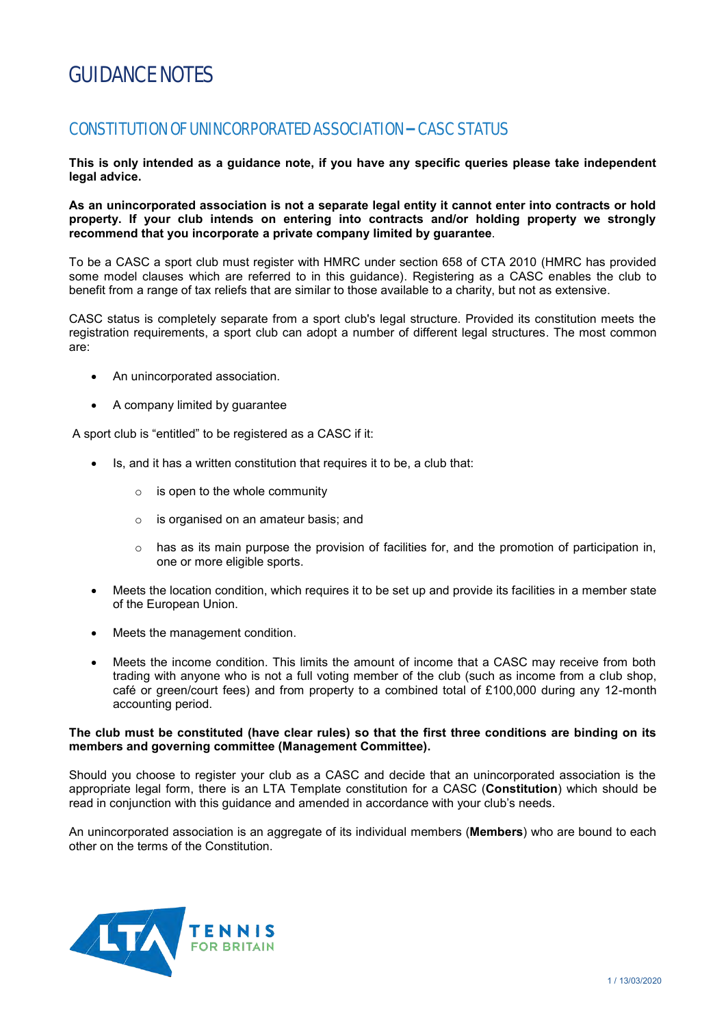# GUIDANCE NOTES

# CONSTITUTION OF UNINCORPORATED ASSOCIATION – CASC STATUS

**This is only intended as a guidance note, if you have any specific queries please take independent legal advice.** 

**As an unincorporated association is not a separate legal entity it cannot enter into contracts or hold property. If your club intends on entering into contracts and/or holding property we strongly recommend that you incorporate a private company limited by guarantee**.

To be a CASC a sport club must register with HMRC under section 658 of CTA 2010 (HMRC has provided some model clauses which are referred to in this guidance). Registering as a CASC enables the club to benefit from a range of tax reliefs that are similar to those available to a charity, but not as extensive.

CASC status is completely separate from a sport club's legal structure. Provided its constitution meets the registration requirements, a sport club can adopt a number of different legal structures. The most common are:

- An unincorporated association.
- A company limited by guarantee

A sport club is "entitled" to be registered as a CASC if it:

- Is, and it has a written constitution that requires it to be, a club that:
	- $\circ$  is open to the whole community
	- o is organised on an amateur basis; and
	- $\circ$  has as its main purpose the provision of facilities for, and the promotion of participation in, one or more eligible sports.
- Meets the location condition, which requires it to be set up and provide its facilities in a member state of the European Union.
- Meets the management condition.
- Meets the income condition. This limits the amount of income that a CASC may receive from both trading with anyone who is not a full voting member of the club (such as income from a club shop, café or green/court fees) and from property to a combined total of £100,000 during any 12-month accounting period.

#### **The club must be constituted (have clear rules) so that the first three conditions are binding on its members and governing committee (Management Committee).**

Should you choose to register your club as a CASC and decide that an unincorporated association is the appropriate legal form, there is an LTA Template constitution for a CASC (**Constitution**) which should be read in conjunction with this guidance and amended in accordance with your club's needs.

An unincorporated association is an aggregate of its individual members (**Members**) who are bound to each other on the terms of the Constitution.

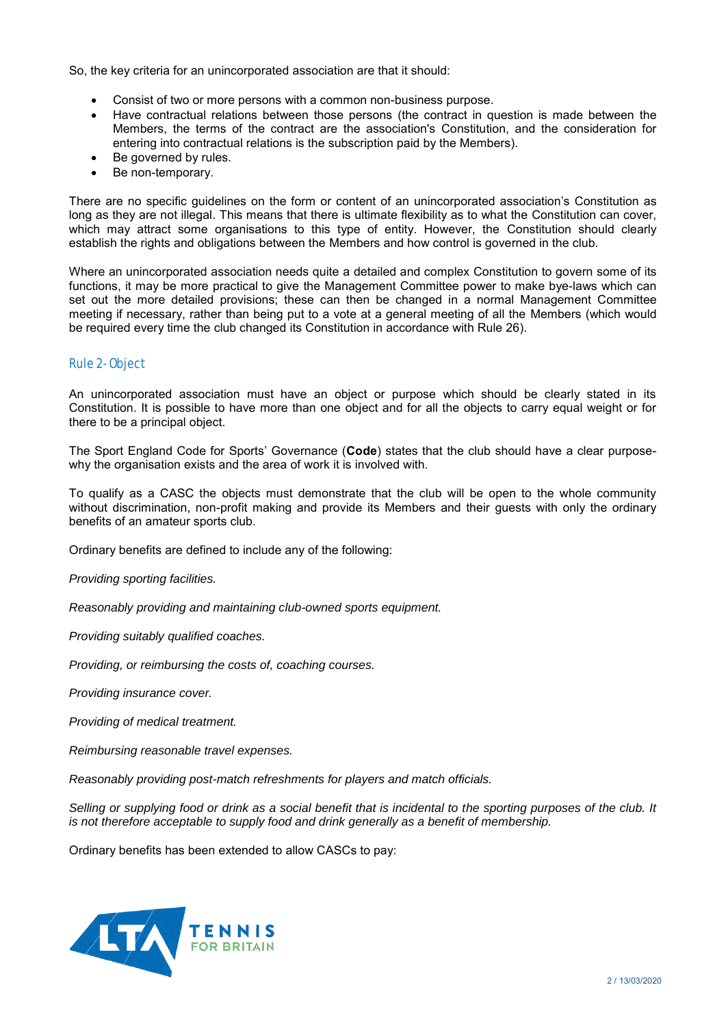So, the key criteria for an unincorporated association are that it should:

- Consist of two or more persons with a common non-business purpose.
- Have contractual relations between those persons (the contract in question is made between the Members, the terms of the contract are the association's Constitution, and the consideration for entering into contractual relations is the subscription paid by the Members).
- Be governed by rules.
- Be non-temporary.

There are no specific guidelines on the form or content of an unincorporated association's Constitution as long as they are not illegal. This means that there is ultimate flexibility as to what the Constitution can cover, which may attract some organisations to this type of entity. However, the Constitution should clearly establish the rights and obligations between the Members and how control is governed in the club.

Where an unincorporated association needs quite a detailed and complex Constitution to govern some of its functions, it may be more practical to give the Management Committee power to make bye-laws which can set out the more detailed provisions; these can then be changed in a normal Management Committee meeting if necessary, rather than being put to a vote at a general meeting of all the Members (which would be required every time the club changed its Constitution in accordance with Rule 26).

# Rule 2- Object

An unincorporated association must have an object or purpose which should be clearly stated in its Constitution. It is possible to have more than one object and for all the objects to carry equal weight or for there to be a principal object.

The Sport England Code for Sports' Governance (**Code**) states that the club should have a clear purposewhy the organisation exists and the area of work it is involved with.

To qualify as a CASC the objects must demonstrate that the club will be open to the whole community without discrimination, non-profit making and provide its Members and their guests with only the ordinary benefits of an amateur sports club.

Ordinary benefits are defined to include any of the following:

*Providing sporting facilities.* 

*Reasonably providing and maintaining club-owned sports equipment.* 

*Providing suitably qualified coaches.* 

*Providing, or reimbursing the costs of, coaching courses.* 

*Providing insurance cover.* 

*Providing of medical treatment.* 

*Reimbursing reasonable travel expenses.* 

*Reasonably providing post-match refreshments for players and match officials.* 

*Selling or supplying food or drink as a social benefit that is incidental to the sporting purposes of the club. It is not therefore acceptable to supply food and drink generally as a benefit of membership.* 

Ordinary benefits has been extended to allow CASCs to pay:

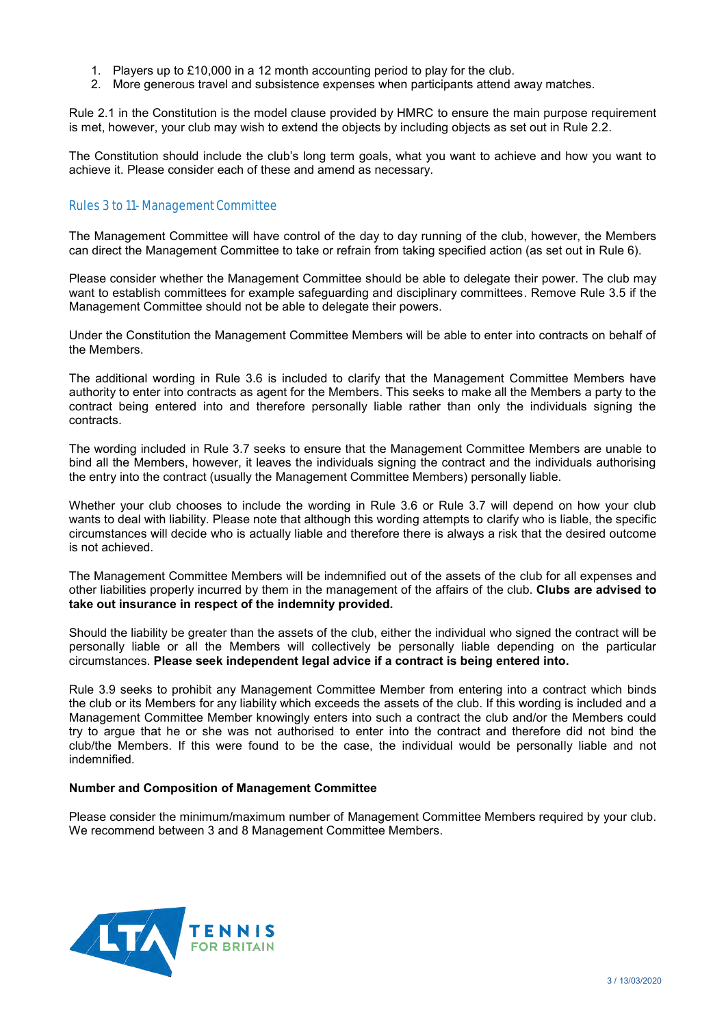- 1. Players up to £10,000 in a 12 month accounting period to play for the club.
- 2. More generous travel and subsistence expenses when participants attend away matches.

Rule 2.1 in the Constitution is the model clause provided by HMRC to ensure the main purpose requirement is met, however, your club may wish to extend the objects by including objects as set out in Rule 2.2.

The Constitution should include the club's long term goals, what you want to achieve and how you want to achieve it. Please consider each of these and amend as necessary.

# Rules 3 to 11- Management Committee

The Management Committee will have control of the day to day running of the club, however, the Members can direct the Management Committee to take or refrain from taking specified action (as set out in Rule 6).

Please consider whether the Management Committee should be able to delegate their power. The club may want to establish committees for example safeguarding and disciplinary committees. Remove Rule 3.5 if the Management Committee should not be able to delegate their powers.

Under the Constitution the Management Committee Members will be able to enter into contracts on behalf of the Members.

The additional wording in Rule 3.6 is included to clarify that the Management Committee Members have authority to enter into contracts as agent for the Members. This seeks to make all the Members a party to the contract being entered into and therefore personally liable rather than only the individuals signing the contracts.

The wording included in Rule 3.7 seeks to ensure that the Management Committee Members are unable to bind all the Members, however, it leaves the individuals signing the contract and the individuals authorising the entry into the contract (usually the Management Committee Members) personally liable.

Whether your club chooses to include the wording in Rule 3.6 or Rule 3.7 will depend on how your club wants to deal with liability. Please note that although this wording attempts to clarify who is liable, the specific circumstances will decide who is actually liable and therefore there is always a risk that the desired outcome is not achieved.

The Management Committee Members will be indemnified out of the assets of the club for all expenses and other liabilities properly incurred by them in the management of the affairs of the club. **Clubs are advised to take out insurance in respect of the indemnity provided.** 

Should the liability be greater than the assets of the club, either the individual who signed the contract will be personally liable or all the Members will collectively be personally liable depending on the particular circumstances. **Please seek independent legal advice if a contract is being entered into.**

Rule 3.9 seeks to prohibit any Management Committee Member from entering into a contract which binds the club or its Members for any liability which exceeds the assets of the club. If this wording is included and a Management Committee Member knowingly enters into such a contract the club and/or the Members could try to argue that he or she was not authorised to enter into the contract and therefore did not bind the club/the Members. If this were found to be the case, the individual would be personally liable and not indemnified.

#### **Number and Composition of Management Committee**

Please consider the minimum/maximum number of Management Committee Members required by your club. We recommend between 3 and 8 Management Committee Members.

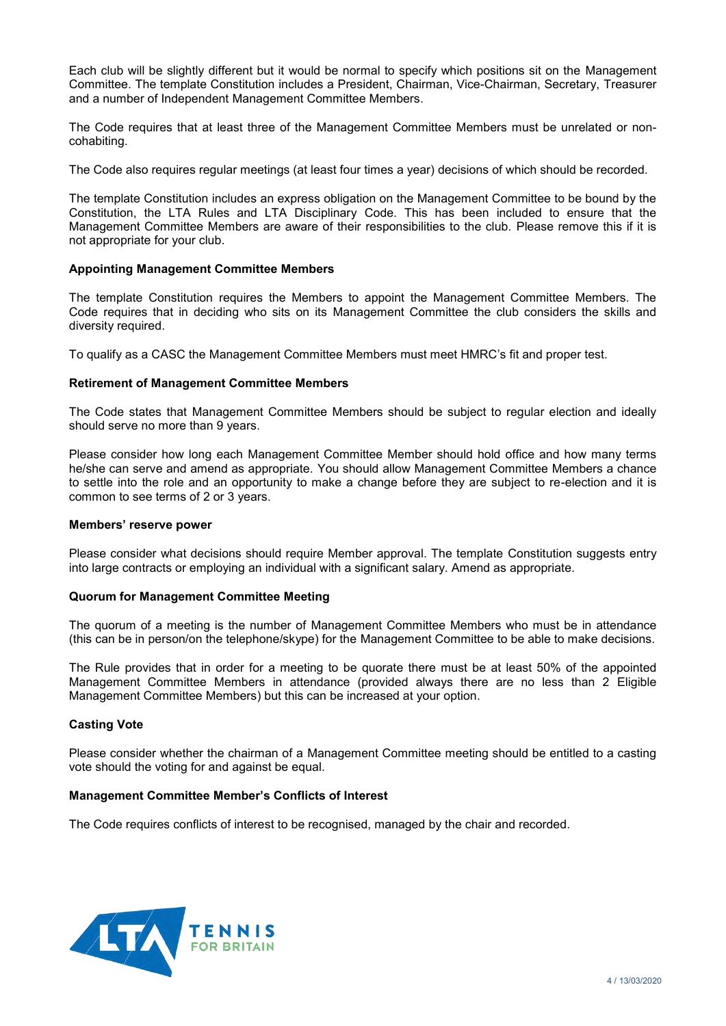Each club will be slightly different but it would be normal to specify which positions sit on the Management Committee. The template Constitution includes a President, Chairman, Vice-Chairman, Secretary, Treasurer and a number of Independent Management Committee Members.

The Code requires that at least three of the Management Committee Members must be unrelated or noncohabiting.

The Code also requires regular meetings (at least four times a year) decisions of which should be recorded.

The template Constitution includes an express obligation on the Management Committee to be bound by the Constitution, the LTA Rules and LTA Disciplinary Code. This has been included to ensure that the Management Committee Members are aware of their responsibilities to the club. Please remove this if it is not appropriate for your club.

# **Appointing Management Committee Members**

The template Constitution requires the Members to appoint the Management Committee Members. The Code requires that in deciding who sits on its Management Committee the club considers the skills and diversity required.

To qualify as a CASC the Management Committee Members must meet HMRC's fit and proper test.

# **Retirement of Management Committee Members**

The Code states that Management Committee Members should be subject to regular election and ideally should serve no more than 9 years.

Please consider how long each Management Committee Member should hold office and how many terms he/she can serve and amend as appropriate. You should allow Management Committee Members a chance to settle into the role and an opportunity to make a change before they are subject to re-election and it is common to see terms of 2 or 3 years.

#### **Members' reserve power**

Please consider what decisions should require Member approval. The template Constitution suggests entry into large contracts or employing an individual with a significant salary. Amend as appropriate.

#### **Quorum for Management Committee Meeting**

The quorum of a meeting is the number of Management Committee Members who must be in attendance (this can be in person/on the telephone/skype) for the Management Committee to be able to make decisions.

The Rule provides that in order for a meeting to be quorate there must be at least 50% of the appointed Management Committee Members in attendance (provided always there are no less than 2 Eligible Management Committee Members) but this can be increased at your option.

## **Casting Vote**

Please consider whether the chairman of a Management Committee meeting should be entitled to a casting vote should the voting for and against be equal.

#### **Management Committee Member's Conflicts of Interest**

The Code requires conflicts of interest to be recognised, managed by the chair and recorded.

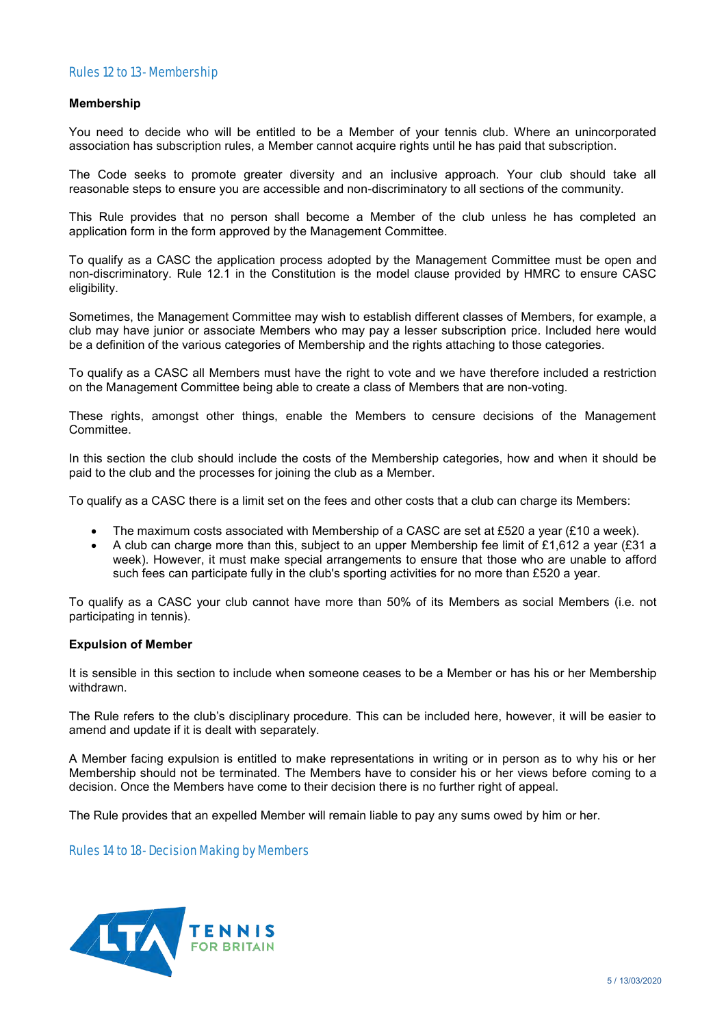# Rules 12 to 13- Membership

#### **Membership**

You need to decide who will be entitled to be a Member of your tennis club. Where an unincorporated association has subscription rules, a Member cannot acquire rights until he has paid that subscription.

The Code seeks to promote greater diversity and an inclusive approach. Your club should take all reasonable steps to ensure you are accessible and non-discriminatory to all sections of the community.

This Rule provides that no person shall become a Member of the club unless he has completed an application form in the form approved by the Management Committee.

To qualify as a CASC the application process adopted by the Management Committee must be open and non-discriminatory. Rule 12.1 in the Constitution is the model clause provided by HMRC to ensure CASC eligibility.

Sometimes, the Management Committee may wish to establish different classes of Members, for example, a club may have junior or associate Members who may pay a lesser subscription price. Included here would be a definition of the various categories of Membership and the rights attaching to those categories.

To qualify as a CASC all Members must have the right to vote and we have therefore included a restriction on the Management Committee being able to create a class of Members that are non-voting.

These rights, amongst other things, enable the Members to censure decisions of the Management Committee.

In this section the club should include the costs of the Membership categories, how and when it should be paid to the club and the processes for joining the club as a Member.

To qualify as a CASC there is a limit set on the fees and other costs that a club can charge its Members:

- The maximum costs associated with Membership of a CASC are set at £520 a year (£10 a week).
- A club can charge more than this, subject to an upper Membership fee limit of £1,612 a year (£31 a week). However, it must make special arrangements to ensure that those who are unable to afford such fees can participate fully in the club's sporting activities for no more than £520 a year.

To qualify as a CASC your club cannot have more than 50% of its Members as social Members (i.e. not participating in tennis).

#### **Expulsion of Member**

It is sensible in this section to include when someone ceases to be a Member or has his or her Membership withdrawn.

The Rule refers to the club's disciplinary procedure. This can be included here, however, it will be easier to amend and update if it is dealt with separately.

A Member facing expulsion is entitled to make representations in writing or in person as to why his or her Membership should not be terminated. The Members have to consider his or her views before coming to a decision. Once the Members have come to their decision there is no further right of appeal.

The Rule provides that an expelled Member will remain liable to pay any sums owed by him or her.

Rules 14 to 18- Decision Making by Members

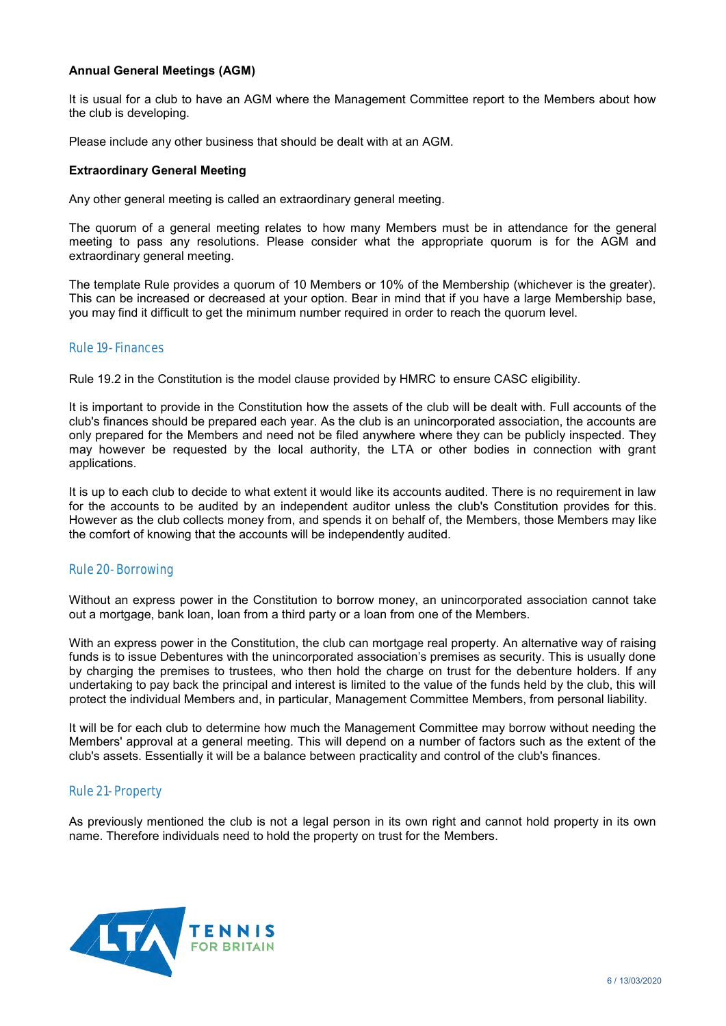# **Annual General Meetings (AGM)**

It is usual for a club to have an AGM where the Management Committee report to the Members about how the club is developing.

Please include any other business that should be dealt with at an AGM.

## **Extraordinary General Meeting**

Any other general meeting is called an extraordinary general meeting.

The quorum of a general meeting relates to how many Members must be in attendance for the general meeting to pass any resolutions. Please consider what the appropriate quorum is for the AGM and extraordinary general meeting.

The template Rule provides a quorum of 10 Members or 10% of the Membership (whichever is the greater). This can be increased or decreased at your option. Bear in mind that if you have a large Membership base, you may find it difficult to get the minimum number required in order to reach the quorum level.

# Rule 19- Finances

Rule 19.2 in the Constitution is the model clause provided by HMRC to ensure CASC eligibility.

It is important to provide in the Constitution how the assets of the club will be dealt with. Full accounts of the club's finances should be prepared each year. As the club is an unincorporated association, the accounts are only prepared for the Members and need not be filed anywhere where they can be publicly inspected. They may however be requested by the local authority, the LTA or other bodies in connection with grant applications.

It is up to each club to decide to what extent it would like its accounts audited. There is no requirement in law for the accounts to be audited by an independent auditor unless the club's Constitution provides for this. However as the club collects money from, and spends it on behalf of, the Members, those Members may like the comfort of knowing that the accounts will be independently audited.

# Rule 20- Borrowing

Without an express power in the Constitution to borrow money, an unincorporated association cannot take out a mortgage, bank loan, loan from a third party or a loan from one of the Members.

With an express power in the Constitution, the club can mortgage real property. An alternative way of raising funds is to issue Debentures with the unincorporated association's premises as security. This is usually done by charging the premises to trustees, who then hold the charge on trust for the debenture holders. If any undertaking to pay back the principal and interest is limited to the value of the funds held by the club, this will protect the individual Members and, in particular, Management Committee Members, from personal liability.

It will be for each club to determine how much the Management Committee may borrow without needing the Members' approval at a general meeting. This will depend on a number of factors such as the extent of the club's assets. Essentially it will be a balance between practicality and control of the club's finances.

# Rule 21- Property

As previously mentioned the club is not a legal person in its own right and cannot hold property in its own name. Therefore individuals need to hold the property on trust for the Members.

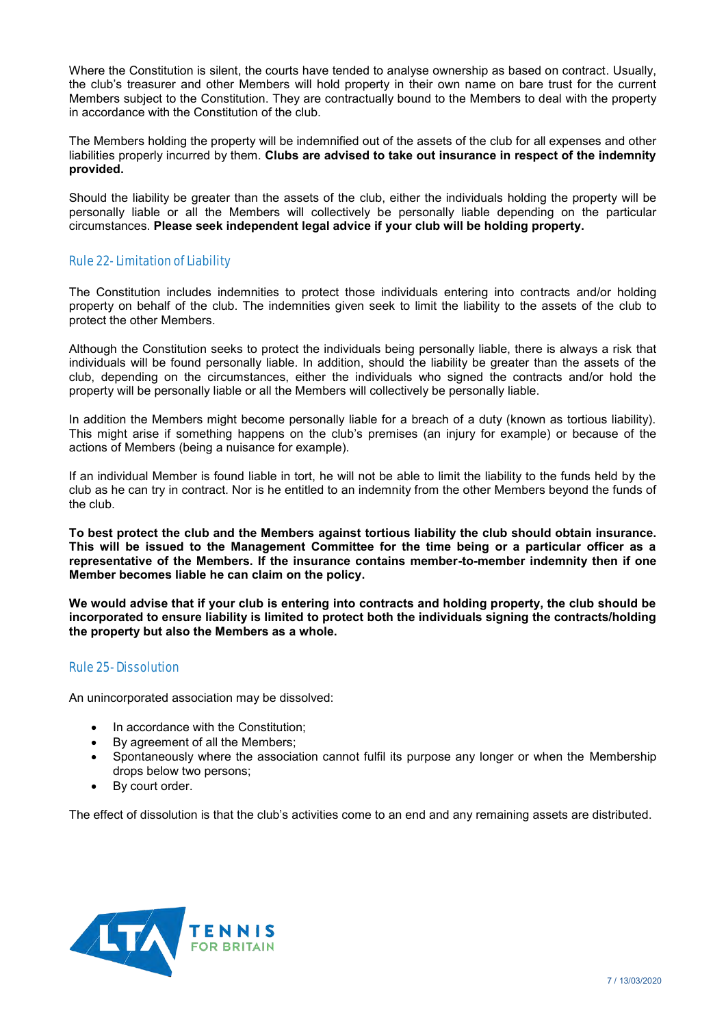Where the Constitution is silent, the courts have tended to analyse ownership as based on contract. Usually, the club's treasurer and other Members will hold property in their own name on bare trust for the current Members subject to the Constitution. They are contractually bound to the Members to deal with the property in accordance with the Constitution of the club.

The Members holding the property will be indemnified out of the assets of the club for all expenses and other liabilities properly incurred by them. **Clubs are advised to take out insurance in respect of the indemnity provided.** 

Should the liability be greater than the assets of the club, either the individuals holding the property will be personally liable or all the Members will collectively be personally liable depending on the particular circumstances. **Please seek independent legal advice if your club will be holding property.**

# Rule 22- Limitation of Liability

The Constitution includes indemnities to protect those individuals entering into contracts and/or holding property on behalf of the club. The indemnities given seek to limit the liability to the assets of the club to protect the other Members.

Although the Constitution seeks to protect the individuals being personally liable, there is always a risk that individuals will be found personally liable. In addition, should the liability be greater than the assets of the club, depending on the circumstances, either the individuals who signed the contracts and/or hold the property will be personally liable or all the Members will collectively be personally liable.

In addition the Members might become personally liable for a breach of a duty (known as tortious liability). This might arise if something happens on the club's premises (an injury for example) or because of the actions of Members (being a nuisance for example).

If an individual Member is found liable in tort, he will not be able to limit the liability to the funds held by the club as he can try in contract. Nor is he entitled to an indemnity from the other Members beyond the funds of the club.

**To best protect the club and the Members against tortious liability the club should obtain insurance. This will be issued to the Management Committee for the time being or a particular officer as a representative of the Members. If the insurance contains member-to-member indemnity then if one Member becomes liable he can claim on the policy.** 

**We would advise that if your club is entering into contracts and holding property, the club should be incorporated to ensure liability is limited to protect both the individuals signing the contracts/holding the property but also the Members as a whole.** 

# Rule 25- Dissolution

An unincorporated association may be dissolved:

- In accordance with the Constitution;
- By agreement of all the Members;
- Spontaneously where the association cannot fulfil its purpose any longer or when the Membership drops below two persons;
- By court order.

The effect of dissolution is that the club's activities come to an end and any remaining assets are distributed.